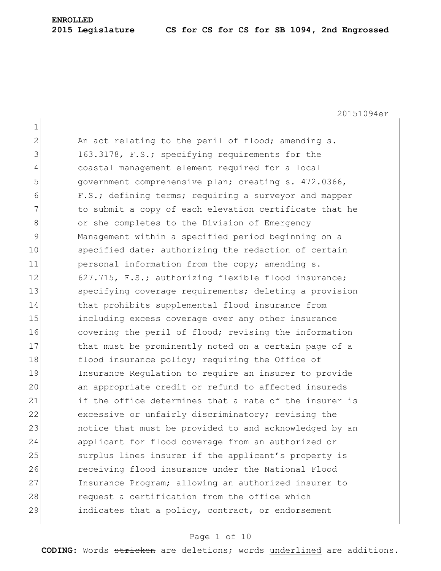1 2 An act relating to the peril of flood; amending s. 3 163.3178, F.S.; specifying requirements for the 4 coastal management element required for a local 5 5 government comprehensive plan; creating s. 472.0366, 6 F.S.; defining terms; requiring a surveyor and mapper 7 11221 to submit a copy of each elevation certificate that he 8 or she completes to the Division of Emergency 9 Management within a specified period beginning on a 10 specified date; authorizing the redaction of certain 11 personal information from the copy; amending s. 12 627.715, F.S.; authorizing flexible flood insurance; 13 Specifying coverage requirements; deleting a provision 14 that prohibits supplemental flood insurance from 15 including excess coverage over any other insurance 16 covering the peril of flood; revising the information 17 that must be prominently noted on a certain page of a 18 flood insurance policy; requiring the Office of 19 Insurance Regulation to require an insurer to provide 20 an appropriate credit or refund to affected insureds 21 if the office determines that a rate of the insurer is 22 excessive or unfairly discriminatory; revising the 23 **hold in that must** be provided to and acknowledged by an 24 applicant for flood coverage from an authorized or 25 Surplus lines insurer if the applicant's property is 26 **receiving flood insurance under the National Flood** 27 Insurance Program; allowing an authorized insurer to 28 **request a certification from the office which** 29 **indicates that a policy, contract, or endorsement** 

#### Page 1 of 10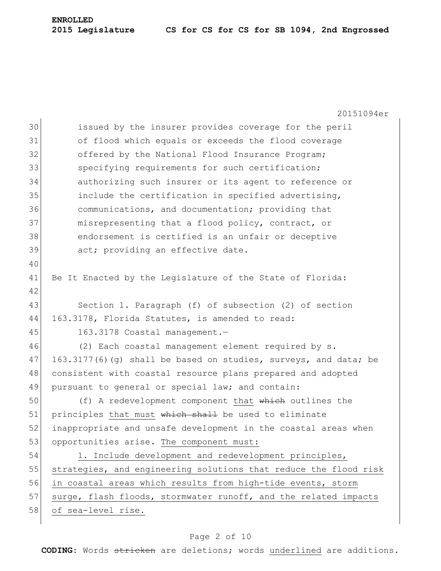20151094er 30 issued by the insurer provides coverage for the peril 31 of flood which equals or exceeds the flood coverage 32 offered by the National Flood Insurance Program; 33 specifying requirements for such certification; 34 authorizing such insurer or its agent to reference or 35 include the certification in specified advertising, 36 communications, and documentation; providing that 37 misrepresenting that a flood policy, contract, or 38 endorsement is certified is an unfair or deceptive 39 act; providing an effective date. 40 41 Be It Enacted by the Legislature of the State of Florida: 42 43 Section 1. Paragraph (f) of subsection (2) of section 44 163.3178, Florida Statutes, is amended to read: 45 163.3178 Coastal management. 46 (2) Each coastal management element required by s.  $47$  163.3177(6)(q) shall be based on studies, surveys, and data; be 48 consistent with coastal resource plans prepared and adopted 49 pursuant to general or special law; and contain: 50 (f) A redevelopment component that which outlines the 51 principles that must which shall be used to eliminate 52 inappropriate and unsafe development in the coastal areas when 53 opportunities arise. The component must: 54 1. Include development and redevelopment principles, 55 strategies, and engineering solutions that reduce the flood risk 56 in coastal areas which results from high-tide events, storm 57 surge, flash floods, stormwater runoff, and the related impacts 58 of sea-level rise.

#### Page 2 of 10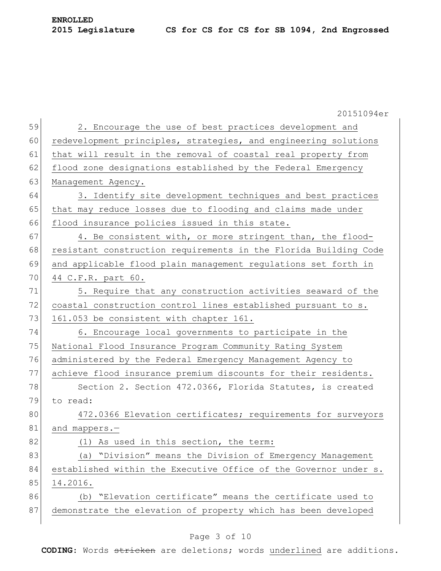|    | 20151094er                                                       |
|----|------------------------------------------------------------------|
| 59 | 2. Encourage the use of best practices development and           |
| 60 | redevelopment principles, strategies, and engineering solutions  |
| 61 | that will result in the removal of coastal real property from    |
| 62 | flood zone designations established by the Federal Emergency     |
| 63 | Management Agency.                                               |
| 64 | 3. Identify site development techniques and best practices       |
| 65 | that may reduce losses due to flooding and claims made under     |
| 66 | flood insurance policies issued in this state.                   |
| 67 | 4. Be consistent with, or more stringent than, the flood-        |
| 68 | resistant construction requirements in the Florida Building Code |
| 69 | and applicable flood plain management regulations set forth in   |
| 70 | 44 C.F.R. part 60.                                               |
| 71 | 5. Require that any construction activities seaward of the       |
| 72 | coastal construction control lines established pursuant to s.    |
| 73 | 161.053 be consistent with chapter 161.                          |
| 74 | 6. Encourage local governments to participate in the             |
| 75 | National Flood Insurance Program Community Rating System         |
| 76 | administered by the Federal Emergency Management Agency to       |
| 77 | achieve flood insurance premium discounts for their residents.   |
| 78 | Section 2. Section 472.0366, Florida Statutes, is created        |
| 79 | to read:                                                         |
| 80 | 472.0366 Elevation certificates; requirements for surveyors      |
| 81 | and mappers.-                                                    |
| 82 | (1) As used in this section, the term:                           |
| 83 | (a) "Division" means the Division of Emergency Management        |
| 84 | established within the Executive Office of the Governor under s. |
| 85 | 14.2016.                                                         |
| 86 | "Elevation certificate" means the certificate used to<br>(b)     |
| 87 | demonstrate the elevation of property which has been developed   |
|    |                                                                  |

### Page 3 of 10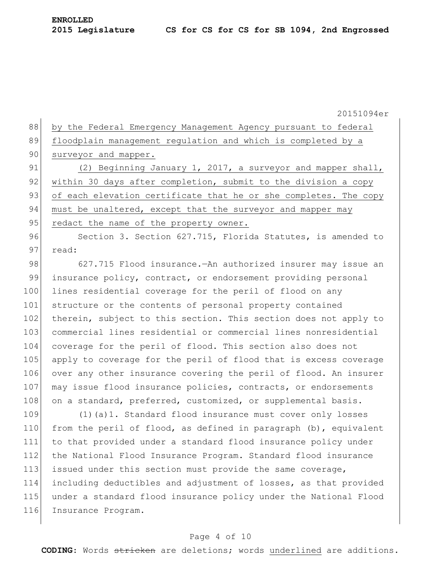88 by the Federal Emergency Management Agency pursuant to federal 89 floodplain management regulation and which is completed by a 90 surveyor and mapper. 91 (2) Beginning January 1, 2017, a surveyor and mapper shall, 92 within 30 days after completion, submit to the division a copy 93 of each elevation certificate that he or she completes. The copy 94 must be unaltered, except that the surveyor and mapper may 95 redact the name of the property owner. 96 Section 3. Section 627.715, Florida Statutes, is amended to 97 read:

98 627.715 Flood insurance.—An authorized insurer may issue an 99 insurance policy, contract, or endorsement providing personal 100 lines residential coverage for the peril of flood on any 101 structure or the contents of personal property contained 102 therein, subject to this section. This section does not apply to 103 commercial lines residential or commercial lines nonresidential 104 coverage for the peril of flood. This section also does not 105 apply to coverage for the peril of flood that is excess coverage 106 over any other insurance covering the peril of flood. An insurer 107 may issue flood insurance policies, contracts, or endorsements 108 on a standard, preferred, customized, or supplemental basis.

 (1)(a)1. Standard flood insurance must cover only losses 110 from the peril of flood, as defined in paragraph (b), equivalent to that provided under a standard flood insurance policy under the National Flood Insurance Program. Standard flood insurance 113 issued under this section must provide the same coverage, including deductibles and adjustment of losses, as that provided under a standard flood insurance policy under the National Flood 116 Insurance Program.

#### Page 4 of 10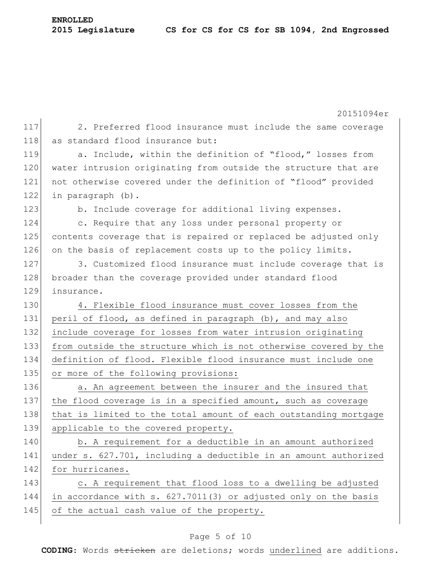|     | 20151094er                                                       |
|-----|------------------------------------------------------------------|
| 117 | 2. Preferred flood insurance must include the same coverage      |
| 118 | as standard flood insurance but:                                 |
| 119 | a. Include, within the definition of "flood," losses from        |
| 120 | water intrusion originating from outside the structure that are  |
| 121 | not otherwise covered under the definition of "flood" provided   |
| 122 | in paragraph (b).                                                |
| 123 | b. Include coverage for additional living expenses.              |
| 124 | c. Require that any loss under personal property or              |
| 125 | contents coverage that is repaired or replaced be adjusted only  |
| 126 | on the basis of replacement costs up to the policy limits.       |
| 127 | 3. Customized flood insurance must include coverage that is      |
| 128 | broader than the coverage provided under standard flood          |
| 129 | insurance.                                                       |
| 130 | 4. Flexible flood insurance must cover losses from the           |
| 131 | peril of flood, as defined in paragraph (b), and may also        |
| 132 | include coverage for losses from water intrusion originating     |
| 133 | from outside the structure which is not otherwise covered by the |
| 134 | definition of flood. Flexible flood insurance must include one   |
| 135 | or more of the following provisions:                             |
| 136 | a. An agreement between the insurer and the insured that         |
| 137 | the flood coverage is in a specified amount, such as coverage    |
| 138 | that is limited to the total amount of each outstanding mortgage |
| 139 | applicable to the covered property.                              |
| 140 | b. A requirement for a deductible in an amount authorized        |
| 141 | under s. 627.701, including a deductible in an amount authorized |
| 142 | for hurricanes.                                                  |
| 143 | c. A requirement that flood loss to a dwelling be adjusted       |
| 144 | in accordance with s. 627.7011(3) or adjusted only on the basis  |
| 145 | of the actual cash value of the property.                        |
|     |                                                                  |

# Page 5 of 10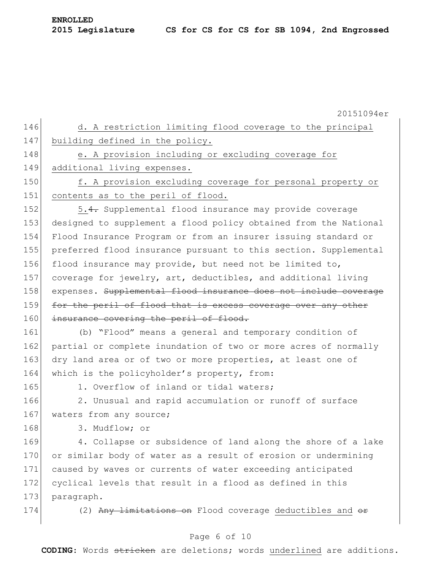20151094er 146 d. A restriction limiting flood coverage to the principal 147 building defined in the policy. 148 e. A provision including or excluding coverage for 149 additional living expenses. 150 f. A provision excluding coverage for personal property or 151 contents as to the peril of flood. 152 5.4. Supplemental flood insurance may provide coverage 153 designed to supplement a flood policy obtained from the National 154 Flood Insurance Program or from an insurer issuing standard or 155 preferred flood insurance pursuant to this section. Supplemental 156 flood insurance may provide, but need not be limited to, 157 coverage for jewelry, art, deductibles, and additional living 158 expenses. Supplemental flood insurance does not include coverage 159 for the peril of flood that is excess coverage over any other 160 insurance covering the peril of flood. 161 (b) "Flood" means a general and temporary condition of 162 partial or complete inundation of two or more acres of normally 163 dry land area or of two or more properties, at least one of 164 which is the policyholder's property, from: 165 1. Overflow of inland or tidal waters; 166 2. Unusual and rapid accumulation or runoff of surface 167 waters from any source; 168 3. Mudflow; or 169 4. Collapse or subsidence of land along the shore of a lake 170 or similar body of water as a result of erosion or undermining 171 caused by waves or currents of water exceeding anticipated 172 cyclical levels that result in a flood as defined in this 173 paragraph. 174 (2) Any limitations on Flood coverage deductibles and or

#### Page 6 of 10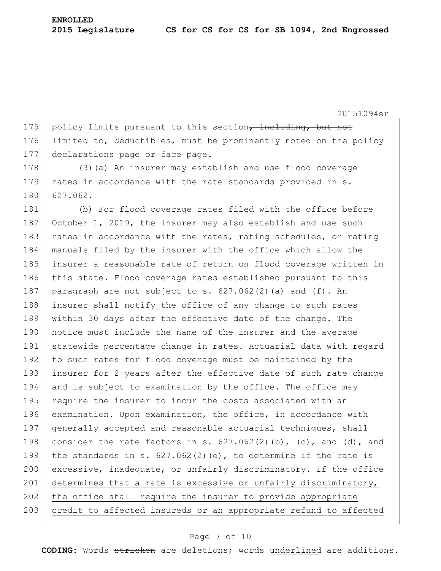175 policy limits pursuant to this section, including, but not 176 limited to, deductibles, must be prominently noted on the policy 177 declarations page or face page.

178 (3) (a) An insurer may establish and use flood coverage 179 rates in accordance with the rate standards provided in s. 180 627.062.

181 (b) For flood coverage rates filed with the office before 182 October 1, 2019, the insurer may also establish and use such 183 rates in accordance with the rates, rating schedules, or rating 184 manuals filed by the insurer with the office which allow the 185 insurer a reasonable rate of return on flood coverage written in 186 this state. Flood coverage rates established pursuant to this 187 paragraph are not subject to s.  $627.062(2)$  (a) and (f). An 188 insurer shall notify the office of any change to such rates 189 within 30 days after the effective date of the change. The 190 notice must include the name of the insurer and the average 191 statewide percentage change in rates. Actuarial data with regard 192 to such rates for flood coverage must be maintained by the 193 insurer for 2 years after the effective date of such rate change 194 and is subject to examination by the office. The office may 195 require the insurer to incur the costs associated with an 196 examination. Upon examination, the office, in accordance with 197 generally accepted and reasonable actuarial techniques, shall 198 consider the rate factors in s.  $627.062(2)$  (b), (c), and (d), and 199 the standards in s.  $627.062(2)(e)$ , to determine if the rate is 200 excessive, inadequate, or unfairly discriminatory. If the office 201 determines that a rate is excessive or unfairly discriminatory, 202 the office shall require the insurer to provide appropriate 203 credit to affected insureds or an appropriate refund to affected

#### Page 7 of 10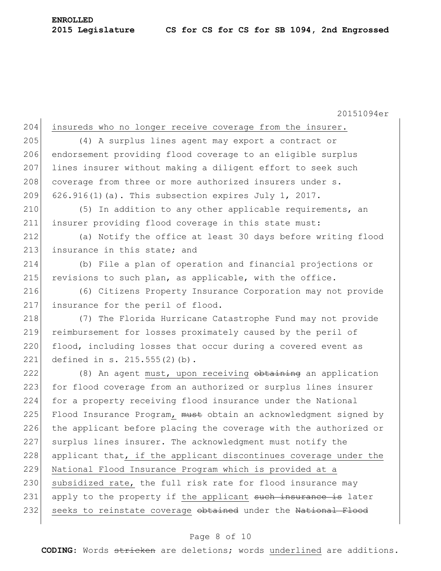#### **2015 Legislature CS for CS for CS for SB 1094, 2nd Engrossed**

**ENROLLED**

20151094er 204 insureds who no longer receive coverage from the insurer. 205 (4) A surplus lines agent may export a contract or 206 endorsement providing flood coverage to an eligible surplus 207 lines insurer without making a diligent effort to seek such 208 coverage from three or more authorized insurers under s. 209 626.916(1)(a). This subsection expires July 1, 2017. 210 (5) In addition to any other applicable requirements, an 211 insurer providing flood coverage in this state must: 212 (a) Notify the office at least 30 days before writing flood 213 insurance in this state; and 214 (b) File a plan of operation and financial projections or 215 revisions to such plan, as applicable, with the office. 216 (6) Citizens Property Insurance Corporation may not provide 217 insurance for the peril of flood. 218 (7) The Florida Hurricane Catastrophe Fund may not provide 219 reimbursement for losses proximately caused by the peril of 220 flood, including losses that occur during a covered event as 221 defined in s. 215.555(2)(b). 222  $(8)$  An agent must, upon receiving  $\theta$ btaining an application 223 for flood coverage from an authorized or surplus lines insurer 224 for a property receiving flood insurance under the National 225 Flood Insurance Program, must obtain an acknowledgment signed by 226 the applicant before placing the coverage with the authorized or 227 surplus lines insurer. The acknowledgment must notify the 228 applicant that, if the applicant discontinues coverage under the 229 National Flood Insurance Program which is provided at a 230 subsidized rate, the full risk rate for flood insurance may 231 apply to the property if the applicant such insurance is later 232 seeks to reinstate coverage obtained under the National Flood

#### Page 8 of 10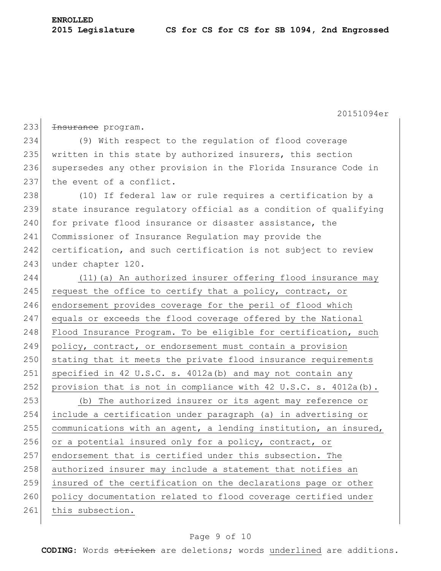**ENROLLED**

233 <del>Insurance</del> program. 234 (9) With respect to the regulation of flood coverage 235 written in this state by authorized insurers, this section 236 supersedes any other provision in the Florida Insurance Code in 237 the event of a conflict. 238 (10) If federal law or rule requires a certification by a 239 state insurance regulatory official as a condition of qualifying 240 for private flood insurance or disaster assistance, the 241 Commissioner of Insurance Regulation may provide the 242 certification, and such certification is not subject to review 243 under chapter 120. 244 (11) (a) An authorized insurer offering flood insurance may 245 request the office to certify that a policy, contract, or 246 endorsement provides coverage for the peril of flood which 247 equals or exceeds the flood coverage offered by the National 248 Flood Insurance Program. To be eligible for certification, such 249 policy, contract, or endorsement must contain a provision 250 stating that it meets the private flood insurance requirements 251 specified in 42 U.S.C. s. 4012a(b) and may not contain any 252 provision that is not in compliance with 42 U.S.C. s.  $4012a(b)$ . 253 (b) The authorized insurer or its agent may reference or 254 include a certification under paragraph (a) in advertising or 255 communications with an agent, a lending institution, an insured, 256 or a potential insured only for a policy, contract, or 257 endorsement that is certified under this subsection. The 258 authorized insurer may include a statement that notifies an 259 insured of the certification on the declarations page or other 260 policy documentation related to flood coverage certified under 261 this subsection.

### Page 9 of 10